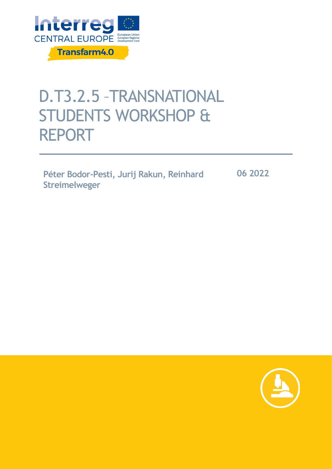

# D.T3.2.5 –TRANSNATIONAL STUDENTS WORKSHOP & REPORT

**Péter Bodor-Pesti, Jurij Rakun, Reinhard Streimelweger** 

**06 2022**

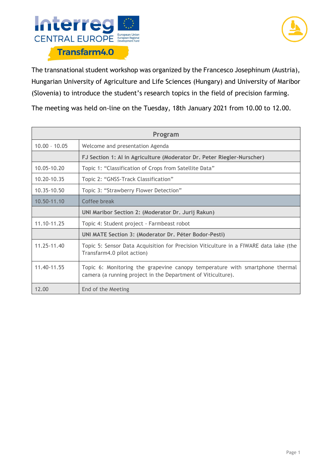



The transnational student workshop was organized by the Francesco Josephinum (Austria), Hungarian University of Agriculture and Life Sciences (Hungary) and University of Maribor (Slovenia) to introduce the student's research topics in the field of precision farming.

The meeting was held on-line on the Tuesday, 18th January 2021 from 10.00 to 12.00.

| Program         |                                                                                                                                              |
|-----------------|----------------------------------------------------------------------------------------------------------------------------------------------|
| $10.00 - 10.05$ | Welcome and presentation Agenda                                                                                                              |
|                 | FJ Section 1: AI in Agriculture (Moderator Dr. Peter Riegler-Nurscher)                                                                       |
| 10.05-10.20     | Topic 1: "Classification of Crops from Satellite Data"                                                                                       |
| 10.20-10.35     | Topic 2: "GNSS-Track Classification"                                                                                                         |
| $10.35 - 10.50$ | Topic 3: "Strawberry Flower Detection"                                                                                                       |
| 10.50-11.10     | Coffee break                                                                                                                                 |
|                 | UNI Maribor Section 2: (Moderator Dr. Jurij Rakun)                                                                                           |
| 11.10-11.25     | Topic 4: Student project - Farmbeast robot                                                                                                   |
|                 | UNI MATE Section 3: (Moderator Dr. Péter Bodor-Pesti)                                                                                        |
| 11.25-11.40     | Topic 5: Sensor Data Acquisition for Precision Viticulture in a FIWARE data lake (the<br>Transfarm4.0 pilot action)                          |
| 11.40-11.55     | Topic 6: Monitoring the grapevine canopy temperature with smartphone thermal<br>camera (a running project in the Department of Viticulture). |
| 12.00           | End of the Meeting                                                                                                                           |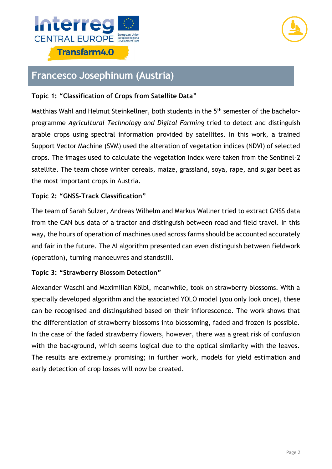



## **Francesco Josephinum (Austria)**

### **Topic 1: "Classification of Crops from Satellite Data"**

Matthias Wahl and Helmut Steinkellner, both students in the 5<sup>th</sup> semester of the bachelorprogramme *Agricultural Technology and Digital Farming* tried to detect and distinguish arable crops using spectral information provided by satellites. In this work, a trained Support Vector Machine (SVM) used the alteration of vegetation indices (NDVI) of selected crops. The images used to calculate the vegetation index were taken from the Sentinel-2 satellite. The team chose winter cereals, maize, grassland, soya, rape, and sugar beet as the most important crops in Austria.

#### **Topic 2: "GNSS-Track Classification"**

The team of Sarah Sulzer, Andreas Wilhelm and Markus Wallner tried to extract GNSS data from the CAN bus data of a tractor and distinguish between road and field travel. In this way, the hours of operation of machines used across farms should be accounted accurately and fair in the future. The AI algorithm presented can even distinguish between fieldwork (operation), turning manoeuvres and standstill.

#### **Topic 3: "Strawberry Blossom Detection"**

Alexander Waschl and Maximilian Kölbl, meanwhile, took on strawberry blossoms. With a specially developed algorithm and the associated YOLO model (you only look once), these can be recognised and distinguished based on their inflorescence. The work shows that the differentiation of strawberry blossoms into blossoming, faded and frozen is possible. In the case of the faded strawberry flowers, however, there was a great risk of confusion with the background, which seems logical due to the optical similarity with the leaves. The results are extremely promising; in further work, models for yield estimation and early detection of crop losses will now be created.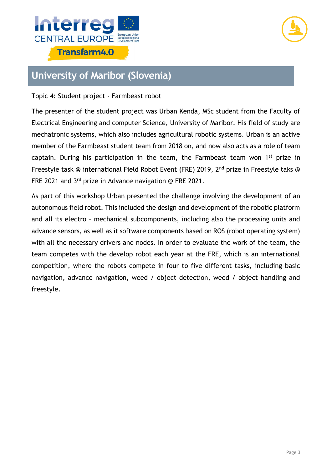



## **University of Maribor (Slovenia)**

#### Topic 4: Student project - Farmbeast robot

The presenter of the student project was Urban Kenda, MSc student from the Faculty of Electrical Engineering and computer Science, University of Maribor. His field of study are mechatronic systems, which also includes agricultural robotic systems. Urban is an active member of the Farmbeast student team from 2018 on, and now also acts as a role of team captain. During his participation in the team, the Farmbeast team won 1<sup>st</sup> prize in Freestyle task @ international Field Robot Event (FRE) 2019, 2<sup>nd</sup> prize in Freestyle taks @ FRE 2021 and 3rd prize in Advance navigation @ FRE 2021.

As part of this workshop Urban presented the challenge involving the development of an autonomous field robot. This included the design and development of the robotic platform and all its electro – mechanical subcomponents, including also the processing units and advance sensors, as well as it software components based on ROS (robot operating system) with all the necessary drivers and nodes. In order to evaluate the work of the team, the team competes with the develop robot each year at the FRE, which is an international competition, where the robots compete in four to five different tasks, including basic navigation, advance navigation, weed / object detection, weed / object handling and freestyle.